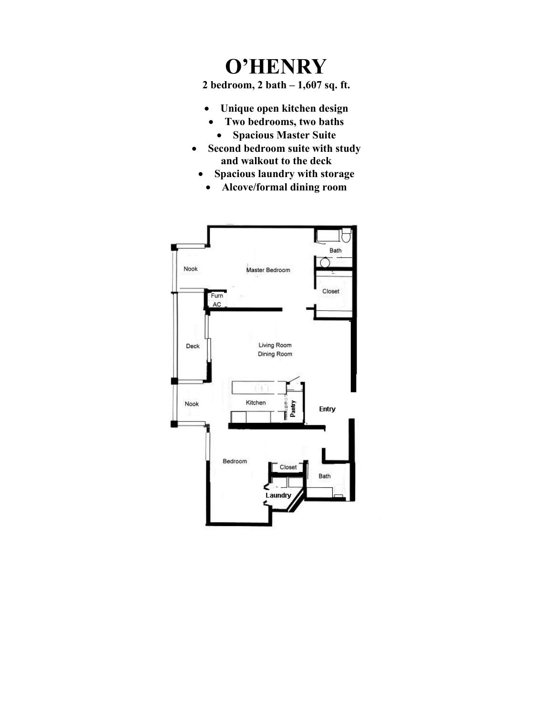## **O'HENRY**

**2 bedroom, 2 bath – 1,607 sq. ft.**

- **Unique open kitchen design**
- **Two bedrooms, two baths**
	- **Spacious Master Suite**
- **Second bedroom suite with study and walkout to the deck**
	- **Spacious laundry with storage**
	- **Alcove/formal dining room**